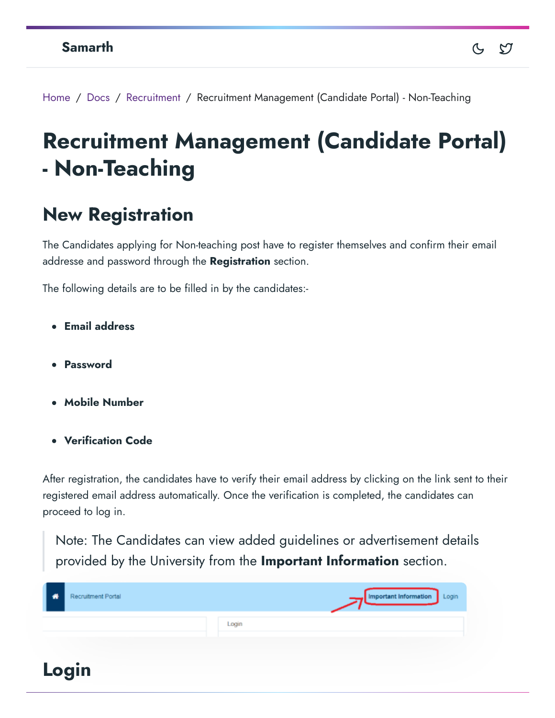Home / Docs / Recruitment / Recruitment Management (Candidate Portal) - Non-Teaching

# **Recruitment Management (Candidate Portal) - Non-Teaching**

## **New Registration**

The Candidates applying for Non-teaching post have to register themselves and confirm their email addresse and password through the **Registration** section.

The following details are to be filled in by the candidates:-

- **Email address**
- **Password**
- **Mobile Number**
- **Verification Code**

After registration, the candidates have to verify their email address by clicking on the link sent to their registered email address automatically. Once the verification is completed, the candidates can proceed to log in.

Note: The Candidates can view added guidelines or advertisement details provided by the University from the **Important Information** section.

| A | Recruitment Portal |       | Important Information Login |
|---|--------------------|-------|-----------------------------|
|   |                    | Login |                             |
|   | Login              |       |                             |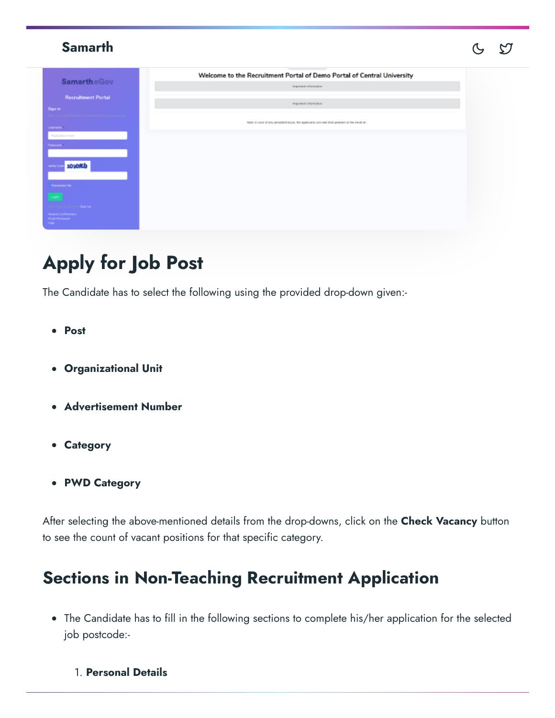| <b>Samarth</b>                                                                                                                                                                                                                    |                                                                                                                          | ∽ |
|-----------------------------------------------------------------------------------------------------------------------------------------------------------------------------------------------------------------------------------|--------------------------------------------------------------------------------------------------------------------------|---|
| <b>SamartheGov</b><br><b>Recruitment Portal</b><br>Sign In                                                                                                                                                                        | Welcome to the Recruitment Portal of Demo Portal of Central University<br>Important information<br>Important/Information |   |
| UNITARIN <sup>*</sup><br>Programmati Emilia<br>Personnel *<br>zovoreb<br>Verify Co<br><b><i>Charamber Mc</i></b><br>Login<br>Gentleman en economic <b>Signitia</b><br>Reservation Formation<br><b>Pleaset Password</b><br>seato - | Note in case of any persistent loose. We applicants can mail their protiem at the email lo-                              |   |

# **Apply for Job Post**

The Candidate has to select the following using the provided drop-down given:-

- **Post**
- **Organizational Unit**
- **Advertisement Number**
- **Category**
- **PWD Category**

After selecting the above-mentioned details from the drop-downs, click on the **Check Vacancy** button to see the count of vacant positions for that specific category.

## **Sections in Non-Teaching Recruitment Application**

- The Candidate has to fill in the following sections to complete his/her application for the selected job postcode:-
	- 1. **Personal Details**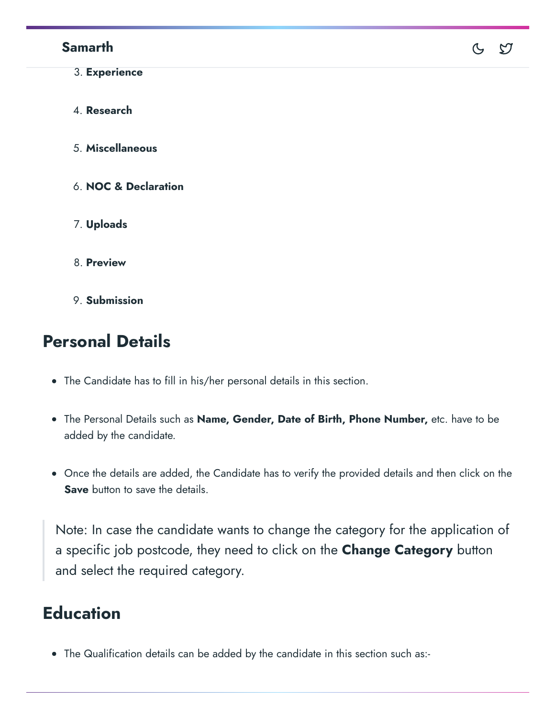#### **Samarth**

3. **Experience** 4. **Research** 5. **Miscellaneous** 6. **NOC & Declaration** 7. **Uploads** 8. **Preview**

 $C$   $D$ 

9. **Submission**

# **Personal Details**

- The Candidate has to fill in his/her personal details in this section.
- The Personal Details such as **Name, Gender, Date of Birth, Phone Number,** etc. have to be added by the candidate.
- Once the details are added, the Candidate has to verify the provided details and then click on the **Save** button to save the details.

Note: In case the candidate wants to change the category for the application of a specific job postcode, they need to click on the **Change Category** button and select the required category.

# **Education**

The Qualification details can be added by the candidate in this section such as:-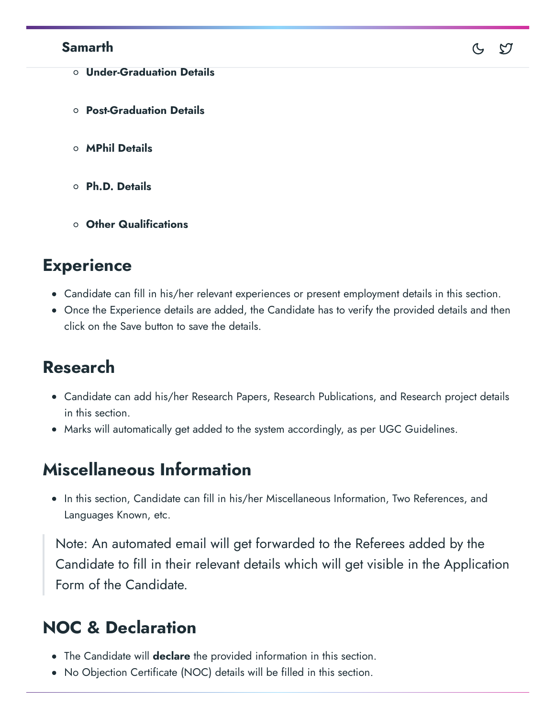#### **Samarth**

- **Under-Graduation Details**
- **Post-Graduation Details**
- **MPhil Details**
- **Ph.D. Details**
- **Other Qualifications**

### **Experience**

Candidate can fill in his/her relevant experiences or present employment details in this section.

 $\infty$ 

Once the Experience details are added, the Candidate has to verify the provided details and then click on the Save button to save the details.

### **Research**

- Candidate can add his/her Research Papers, Research Publications, and Research project details in this section.
- Marks will automatically get added to the system accordingly, as per UGC Guidelines.

### **Miscellaneous Information**

• In this section, Candidate can fill in his/her Miscellaneous Information, Two References, and Languages Known, etc.

Note: An automated email will get forwarded to the Referees added by the Candidate to fill in their relevant details which will get visible in the Application Form of the Candidate.

## **NOC & Declaration**

- The Candidate will **declare** the provided information in this section.
- No Objection Certificate (NOC) details will be filled in this section.